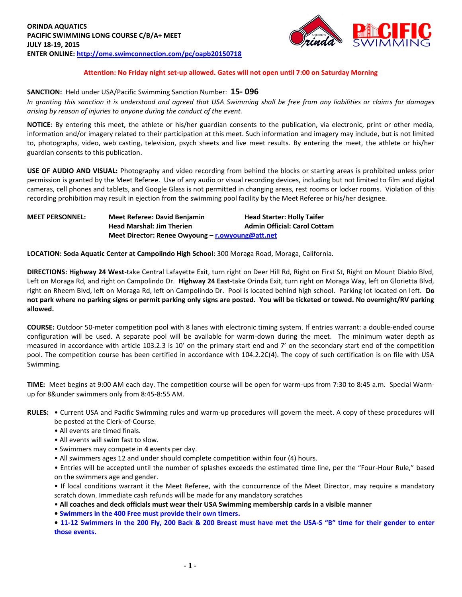

# **Attention: No Friday night set-up allowed. Gates will not open until 7:00 on Saturday Morning**

#### **SANCTION:** Held under USA/Pacific Swimming Sanction Number: **15- 096**

*In granting this sanction it is understood and agreed that USA Swimming shall be free from any liabilities or claims for damages arising by reason of injuries to anyone during the conduct of the event.*

**NOTICE**: By entering this meet, the athlete or his/her guardian consents to the publication, via electronic, print or other media, information and/or imagery related to their participation at this meet. Such information and imagery may include, but is not limited to, photographs, video, web casting, television, psych sheets and live meet results. By entering the meet, the athlete or his/her guardian consents to this publication.

**USE OF AUDIO AND VISUAL:** Photography and video recording from behind the blocks or starting areas is prohibited unless prior permission is granted by the Meet Referee. Use of any audio or visual recording devices, including but not limited to film and digital cameras, cell phones and tablets, and Google Glass is not permitted in changing areas, rest rooms or locker rooms. Violation of this recording prohibition may result in ejection from the swimming pool facility by the Meet Referee or his/her designee.

**MEET PERSONNEL: Meet Referee: David Benjamin Head Starter: Holly Taifer Head Marshal: Jim Therien Admin Official: Carol Cottam Meet Director: Renee Owyoung – [r.owyoung@att.net](mailto:r.owyoung@att.net)**

**LOCATION: Soda Aquatic Center at Campolindo High School**: 300 Moraga Road, Moraga, California.

**DIRECTIONS: Highway 24 West**-take Central Lafayette Exit, turn right on Deer Hill Rd, Right on First St, Right on Mount Diablo Blvd, Left on Moraga Rd, and right on Campolindo Dr. **Highway 24 East**-take Orinda Exit, turn right on Moraga Way, left on Glorietta Blvd, right on Rheem Blvd, left on Moraga Rd, left on Campolindo Dr. Pool is located behind high school. Parking lot located on left. **Do not park where no parking signs or permit parking only signs are posted. You will be ticketed or towed. No overnight/RV parking allowed.**

**COURSE:** Outdoor 50-meter competition pool with 8 lanes with electronic timing system. If entries warrant: a double-ended course configuration will be used. A separate pool will be available for warm-down during the meet. The minimum water depth as measured in accordance with article 103.2.3 is 10' on the primary start end and 7' on the secondary start end of the competition pool. The competition course has been certified in accordance with 104.2.2C(4). The copy of such certification is on file with USA Swimming.

**TIME:** Meet begins at 9:00 AM each day. The competition course will be open for warm-ups from 7:30 to 8:45 a.m. Special Warmup for 8&under swimmers only from 8:45-8:55 AM.

- **RULES:** Current USA and Pacific Swimming rules and warm-up procedures will govern the meet. A copy of these procedures will be posted at the Clerk-of-Course.
	- All events are timed finals.
	- All events will swim fast to slow.
	- Swimmers may compete in **4 e**vents per day.
	- All swimmers ages 12 and under should complete competition within four (4) hours.

• Entries will be accepted until the number of splashes exceeds the estimated time line, per the "Four-Hour Rule," based on the swimmers age and gender.

• If local conditions warrant it the Meet Referee, with the concurrence of the Meet Director, may require a mandatory scratch down. Immediate cash refunds will be made for any mandatory scratches

• **All coaches and deck officials must wear their USA Swimming membership cards in a visible manner**

**• Swimmers in the 400 Free must provide their own timers.**

**• 11-12 Swimmers in the 200 Fly, 200 Back & 200 Breast must have met the USA-S "B" time for their gender to enter those events.**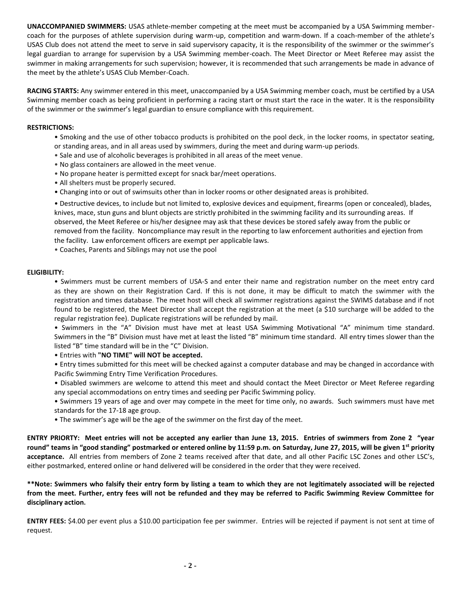**UNACCOMPANIED SWIMMERS:** USAS athlete-member competing at the meet must be accompanied by a USA Swimming membercoach for the purposes of athlete supervision during warm-up, competition and warm-down. If a coach-member of the athlete's USAS Club does not attend the meet to serve in said supervisory capacity, it is the responsibility of the swimmer or the swimmer's legal guardian to arrange for supervision by a USA Swimming member-coach. The Meet Director or Meet Referee may assist the swimmer in making arrangements for such supervision; however, it is recommended that such arrangements be made in advance of the meet by the athlete's USAS Club Member-Coach.

**RACING STARTS:** Any swimmer entered in this meet, unaccompanied by a USA Swimming member coach, must be certified by a USA Swimming member coach as being proficient in performing a racing start or must start the race in the water. It is the responsibility of the swimmer or the swimmer's legal guardian to ensure compliance with this requirement.

## **RESTRICTIONS:**

- Smoking and the use of other tobacco products is prohibited on the pool deck, in the locker rooms, in spectator seating, or standing areas, and in all areas used by swimmers, during the meet and during warm-up periods.
- Sale and use of alcoholic beverages is prohibited in all areas of the meet venue.
- No glass containers are allowed in the meet venue.
- No propane heater is permitted except for snack bar/meet operations.
- All shelters must be properly secured.
- Changing into or out of swimsuits other than in locker rooms or other designated areas is prohibited.

• Destructive devices, to include but not limited to, explosive devices and equipment, firearms (open or concealed), blades, knives, mace, stun guns and blunt objects are strictly prohibited in the swimming facility and its surrounding areas. If observed, the Meet Referee or his/her designee may ask that these devices be stored safely away from the public or removed from the facility. Noncompliance may result in the reporting to law enforcement authorities and ejection from the facility. Law enforcement officers are exempt per applicable laws.

• Coaches, Parents and Siblings may not use the pool

#### **ELIGIBILITY:**

• Swimmers must be current members of USA-S and enter their name and registration number on the meet entry card as they are shown on their Registration Card. If this is not done, it may be difficult to match the swimmer with the registration and times database. The meet host will check all swimmer registrations against the SWIMS database and if not found to be registered, the Meet Director shall accept the registration at the meet (a \$10 surcharge will be added to the regular registration fee). Duplicate registrations will be refunded by mail.

• Swimmers in the "A" Division must have met at least USA Swimming Motivational "A" minimum time standard. Swimmers in the "B" Division must have met at least the listed "B" minimum time standard. All entry times slower than the listed "B" time standard will be in the "C" Division.

• Entries with **"NO TIME" will NOT be accepted.**

• Entry times submitted for this meet will be checked against a computer database and may be changed in accordance with Pacific Swimming Entry Time Verification Procedures.

- Disabled swimmers are welcome to attend this meet and should contact the Meet Director or Meet Referee regarding any special accommodations on entry times and seeding per Pacific Swimming policy.
- Swimmers 19 years of age and over may compete in the meet for time only, no awards. Such swimmers must have met standards for the 17-18 age group.
- The swimmer's age will be the age of the swimmer on the first day of the meet.

**ENTRY PRIORTY: Meet entries will not be accepted any earlier than June 13, 2015. Entries of swimmers from Zone 2 "year round" teams in "good standing" postmarked or entered online by 11:59 p.m. on Saturday, June 27, 2015, will be given 1st priority acceptance.** All entries from members of Zone 2 teams received after that date, and all other Pacific LSC Zones and other LSC's, either postmarked, entered online or hand delivered will be considered in the order that they were received.

**\*\*Note: Swimmers who falsify their entry form by listing a team to which they are not legitimately associated will be rejected from the meet. Further, entry fees will not be refunded and they may be referred to Pacific Swimming Review Committee for disciplinary action.**

**ENTRY FEES:** \$4.00 per event plus a \$10.00 participation fee per swimmer. Entries will be rejected if payment is not sent at time of request.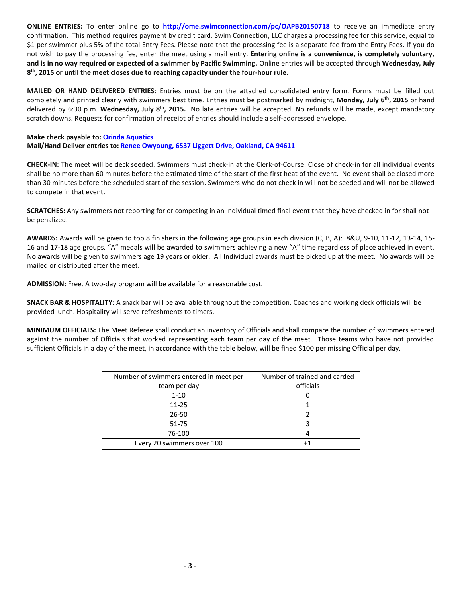**ONLINE ENTRIES:** To enter online go to **<http://ome.swimconnection.com/pc/OAPB20150718>** to receive an immediate entry confirmation. This method requires payment by credit card. Swim Connection, LLC charges a processing fee for this service, equal to \$1 per swimmer plus 5% of the total Entry Fees. Please note that the processing fee is a separate fee from the Entry Fees. If you do not wish to pay the processing fee, enter the meet using a mail entry. **Entering online is a convenience, is completely voluntary, and is in no way required or expected of a swimmer by Pacific Swimming.** Online entries will be accepted through **Wednesday, July 8 th, 2015 or until the meet closes due to reaching capacity under the four-hour rule.** 

**MAILED OR HAND DELIVERED ENTRIES**: Entries must be on the attached consolidated entry form. Forms must be filled out completely and printed clearly with swimmers best time. Entries must be postmarked by midnight, **Monday, July 6th , 2015** or hand delivered by 6:30 p.m. **Wednesday, July 8 th, 2015.** No late entries will be accepted. No refunds will be made, except mandatory scratch downs. Requests for confirmation of receipt of entries should include a self-addressed envelope.

## **Make check payable to: Orinda Aquatics Mail/Hand Deliver entries to: Renee Owyoung, 6537 Liggett Drive, Oakland, CA 94611**

**CHECK-IN:** The meet will be deck seeded. Swimmers must check-in at the Clerk-of-Course. Close of check-in for all individual events shall be no more than 60 minutes before the estimated time of the start of the first heat of the event. No event shall be closed more than 30 minutes before the scheduled start of the session. Swimmers who do not check in will not be seeded and will not be allowed to compete in that event.

**SCRATCHES:** Any swimmers not reporting for or competing in an individual timed final event that they have checked in for shall not be penalized.

**AWARDS:** Awards will be given to top 8 finishers in the following age groups in each division (C, B, A): 8&U, 9-10, 11-12, 13-14, 15- 16 and 17-18 age groups. "A" medals will be awarded to swimmers achieving a new "A" time regardless of place achieved in event. No awards will be given to swimmers age 19 years or older. All Individual awards must be picked up at the meet. No awards will be mailed or distributed after the meet.

**ADMISSION:** Free. A two-day program will be available for a reasonable cost.

**SNACK BAR & HOSPITALITY:** A snack bar will be available throughout the competition. Coaches and working deck officials will be provided lunch. Hospitality will serve refreshments to timers.

**MINIMUM OFFICIALS:** The Meet Referee shall conduct an inventory of Officials and shall compare the number of swimmers entered against the number of Officials that worked representing each team per day of the meet. Those teams who have not provided sufficient Officials in a day of the meet, in accordance with the table below, will be fined \$100 per missing Official per day.

| Number of swimmers entered in meet per | Number of trained and carded |
|----------------------------------------|------------------------------|
| team per day                           | officials                    |
| $1 - 10$                               |                              |
| $11 - 25$                              |                              |
| $26 - 50$                              |                              |
| $51 - 75$                              |                              |
| 76-100                                 |                              |
| Every 20 swimmers over 100             |                              |
|                                        |                              |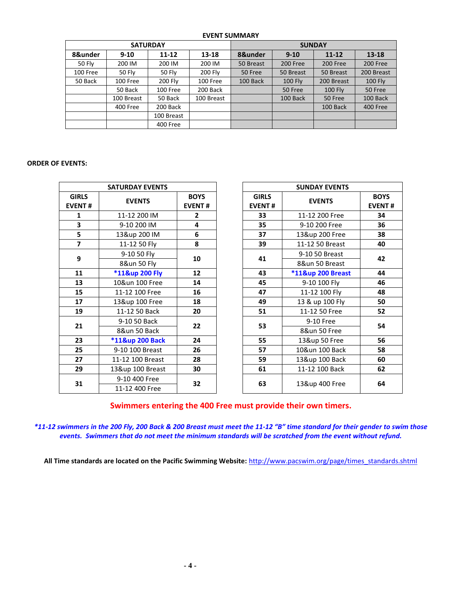# **EVENT SUMMARY**

|               |            | <b>SATURDAY</b> |            | <b>SUNDAY</b> |                |            |                |  |  |
|---------------|------------|-----------------|------------|---------------|----------------|------------|----------------|--|--|
| 8&under       | $9 - 10$   | $11 - 12$       | 13-18      | 8&under       | $9 - 10$       | $11 - 12$  | $13 - 18$      |  |  |
| <b>50 Fly</b> | 200 IM     | 200 IM          | 200 IM     | 50 Breast     | 200 Free       | 200 Free   | 200 Free       |  |  |
| 100 Free      | 50 Fly     | <b>50 Fly</b>   | 200 Fly    | 50 Free       | 50 Breast      | 50 Breast  | 200 Breast     |  |  |
| 50 Back       | 100 Free   | 200 Fly         | 100 Free   | 100 Back      | <b>100 Fly</b> | 200 Breast | <b>100 Fly</b> |  |  |
|               | 50 Back    | 100 Free        | 200 Back   |               | 50 Free        | $100$ Fly  | 50 Free        |  |  |
|               | 100 Breast | 50 Back         | 100 Breast |               | 100 Back       | 50 Free    | 100 Back       |  |  |
|               | 400 Free   | 200 Back        |            |               |                | 100 Back   | 400 Free       |  |  |
|               |            | 100 Breast      |            |               |                |            |                |  |  |
|               |            | 400 Free        |            |               |                |            |                |  |  |

# **ORDER OF EVENTS:**

|                               | <b>SATURDAY EVENTS</b>         |                              |           | <b>SUNDAY EVENTS</b>          |                   |                              |  |
|-------------------------------|--------------------------------|------------------------------|-----------|-------------------------------|-------------------|------------------------------|--|
| <b>GIRLS</b><br><b>EVENT#</b> | <b>EVENTS</b>                  | <b>BOYS</b><br><b>EVENT#</b> |           | <b>GIRLS</b><br><b>EVENT#</b> | <b>EVENTS</b>     | <b>BOYS</b><br><b>EVENT#</b> |  |
| 1                             | 11-12 200 IM                   | $\mathbf{2}$                 |           | 33                            | 11-12 200 Free    | 34                           |  |
| 3                             | 9-10 200 IM                    | 4                            |           | 35                            | 9-10 200 Free     | 36                           |  |
| 5                             | 13&up 200 IM                   | 6                            |           | 37<br>13&up 200 Free          |                   | 38                           |  |
| $\overline{\mathbf{z}}$       | 11-12 50 Fly                   | 8                            |           | 39                            | 11-12 50 Breast   | 40                           |  |
| 9                             | 9-10 50 Fly                    |                              |           | 41                            | 9-10 50 Breast    |                              |  |
|                               | 8&un 50 Fly                    | 10                           |           | 8&un 50 Breast                | 42                |                              |  |
| 11                            | *11&up 200 Fly                 | 12                           |           | 43                            | *11&up 200 Breast | 44                           |  |
| 13                            | 10&un 100 Free                 | 14                           |           | 45                            | 9-10 100 Fly      | 46                           |  |
| 15                            | 11-12 100 Free                 | 16                           |           | 47                            | 11-12 100 Fly     | 48                           |  |
| 17                            | 13&up 100 Free                 | 18                           |           | 49                            | 13 & up 100 Fly   | 50                           |  |
| 19                            | 11-12 50 Back                  | 20                           |           | 51                            | 11-12 50 Free     | 52                           |  |
|                               | 9-10 50 Back<br>21<br>22<br>53 |                              | 9-10 Free | 54                            |                   |                              |  |
|                               | 8&un 50 Back                   |                              |           |                               | 8&un 50 Free      |                              |  |
| 23                            | *11&up 200 Back                | 24                           |           | 55                            | 13&up 50 Free     | 56                           |  |
| 25                            | 9-10 100 Breast                | 26                           |           | 57                            | 10&un 100 Back    | 58                           |  |
| 27                            | 11-12 100 Breast               | 28                           |           | 59                            | 13&up 100 Back    | 60                           |  |
| 29                            | 13&up 100 Breast               | 30                           |           | 61                            | 11-12 100 Back    | 62                           |  |
| 31                            | 9-10 400 Free                  | 32                           | 63        | 13&up 400 Free                | 64                |                              |  |
|                               | 11-12 400 Free                 |                              |           |                               |                   |                              |  |

**Swimmers entering the 400 Free must provide their own timers.**

*\*11-12 swimmers in the 200 Fly, 200 Back & 200 Breast must meet the 11-12 "B" time standard for their gender to swim those events. Swimmers that do not meet the minimum standards will be scratched from the event without refund.*

**All Time standards are located on the Pacific Swimming Website:** [http://www.pacswim.org/page/times\\_standards.shtml](http://www.pacswim.org/page/times_standards.shtml)